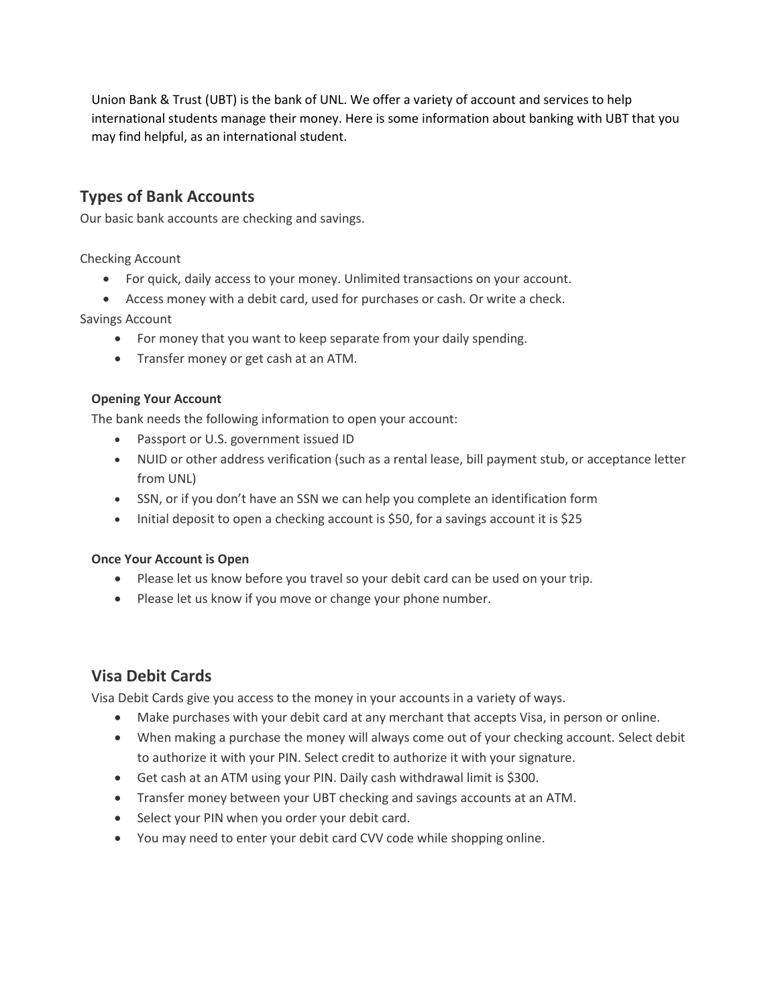Union Bank & Trust (UBT) is the bank of UNL. We offer a variety of account and services to help international students manage their money. Here is some information about banking with UBT that you may find helpful, as an international student.

## **Types of Bank Accounts**

Our basic bank accounts are checking and savings.

Checking Account

- For quick, daily access to your money. Unlimited transactions on your account.
- Access money with a debit card, used for purchases or cash. Or write a check.

Savings Account

- For money that you want to keep separate from your daily spending.
- Transfer money or get cash at an ATM.

### **Opening Your Account**

The bank needs the following information to open your account:

- Passport or U.S. government issued ID
- NUID or other address verification (such as a rental lease, bill payment stub, or acceptance letter from UNL)
- SSN, or if you don't have an SSN we can help you complete an identification form
- Initial deposit to open a checking account is \$50, for a savings account it is \$25

### **Once Your Account is Open**

- Please let us know before you travel so your debit card can be used on your trip.
- Please let us know if you move or change your phone number.

# **Visa Debit Cards**

Visa Debit Cards give you access to the money in your accounts in a variety of ways.

- Make purchases with your debit card at any merchant that accepts Visa, in person or online.
- When making a purchase the money will always come out of your checking account. Select debit to authorize it with your PIN. Select credit to authorize it with your signature.
- Get cash at an ATM using your PIN. Daily cash withdrawal limit is \$300.
- Transfer money between your UBT checking and savings accounts at an ATM.
- Select your PIN when you order your debit card.
- You may need to enter your debit card CVV code while shopping online.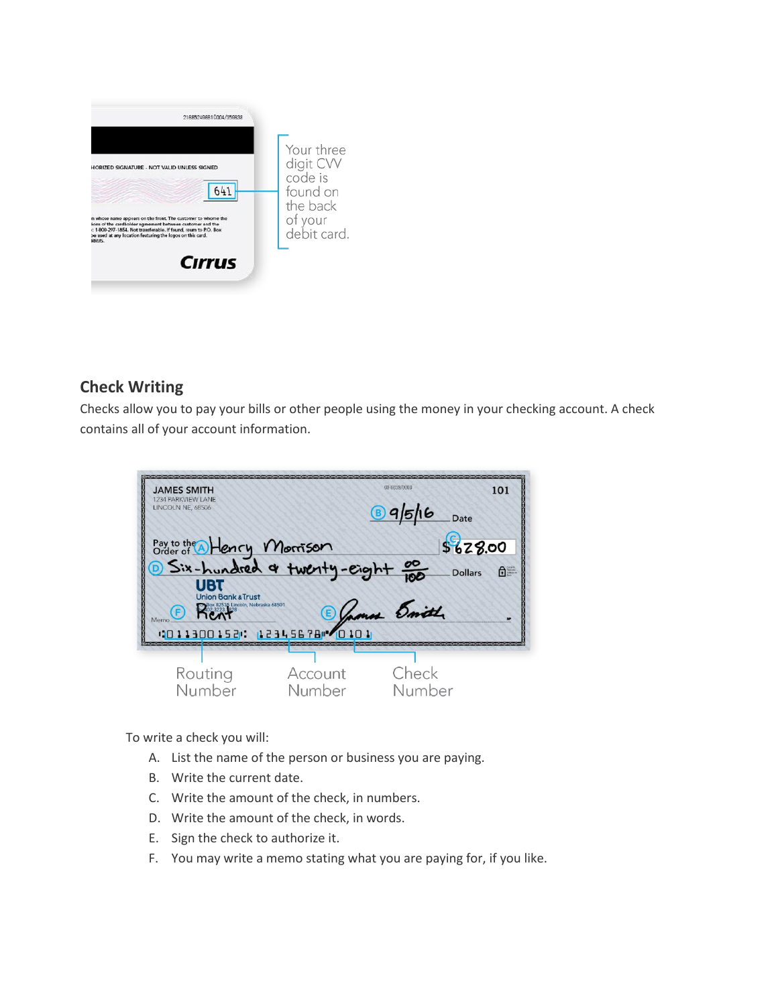

# **Check Writing**

Checks allow you to pay your bills or other people using the money in your checking account. A check contains all of your account information.

| <b>JAMES SMITH</b><br>1234 PARKVIEW LANE<br>LINCOLN NE, 68506                                                                                                                                                                                                               |                   | 00-6859/0000<br>99516<br>Date               | 101                                                                                                                                                                                                                                                                                                                                                                         |
|-----------------------------------------------------------------------------------------------------------------------------------------------------------------------------------------------------------------------------------------------------------------------------|-------------------|---------------------------------------------|-----------------------------------------------------------------------------------------------------------------------------------------------------------------------------------------------------------------------------------------------------------------------------------------------------------------------------------------------------------------------------|
| Pay to the Allency Morrison<br>Order of Allency Morrison<br>D Six-hundred & twenty-eight po<br><b>UBT</b><br><b>Union Bank &amp; Trust</b><br><b>Delox 82535 Lincoln, Nebraska 68501</b><br><b>ALCO 3223 828</b><br><b>ALCO ALCO</b><br>Memo<br>010113001520 12345678 20101 |                   | \$628.00<br><b>Dollars</b><br>Demons Emitte | $\begin{picture}(20,20) \put(0,0){\vector(0,1){30}} \put(15,0){\vector(0,1){30}} \put(15,0){\vector(0,1){30}} \put(15,0){\vector(0,1){30}} \put(15,0){\vector(0,1){30}} \put(15,0){\vector(0,1){30}} \put(15,0){\vector(0,1){30}} \put(15,0){\vector(0,1){30}} \put(15,0){\vector(0,1){30}} \put(15,0){\vector(0,1){30}} \put(15,0){\vector(0,1){30}} \put(15,0){\vector(0$ |
| Routing<br>Number                                                                                                                                                                                                                                                           | Account<br>Number | Check<br>Number                             |                                                                                                                                                                                                                                                                                                                                                                             |

To write a check you will:

- A. List the name of the person or business you are paying.
- B. Write the current date.
- C. Write the amount of the check, in numbers.
- D. Write the amount of the check, in words.
- E. Sign the check to authorize it.
- F. You may write a memo stating what you are paying for, if you like.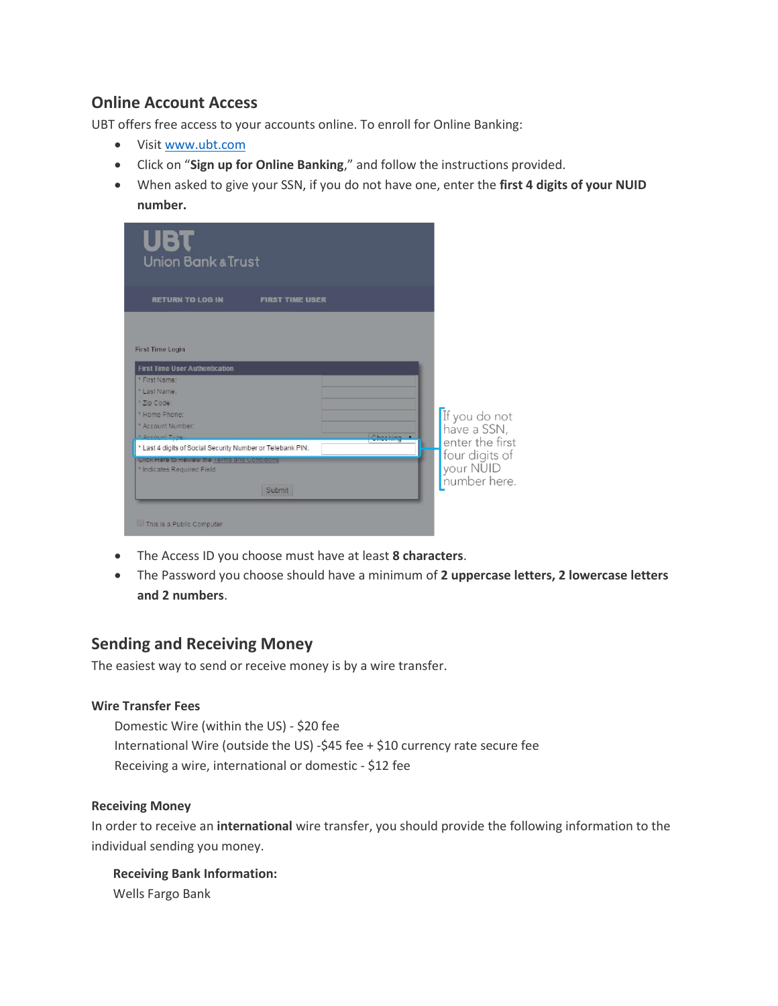## **Online Account Access**

UBT offers free access to your accounts online. To enroll for Online Banking:

- Visit [www.ubt.com](http://www.ubt.com/)
- Click on "**Sign up for Online Banking**," and follow the instructions provided.
- When asked to give your SSN, if you do not have one, enter the **first 4 digits of your NUID number.**

| UBT<br><b>Union Bank &amp; Trust</b>                                                                                                                                                 |                                                                |
|--------------------------------------------------------------------------------------------------------------------------------------------------------------------------------------|----------------------------------------------------------------|
| <b>RETURN TO LOG IN</b><br><b>FIRST TIME USER</b>                                                                                                                                    |                                                                |
| <b>First Time Login</b><br><b>First Time User Authentication</b><br>* First Name:<br>* Last Name:<br>* Zip Code:<br>* Home Phone:<br>* Account Number:<br>* Account Tung<br>Chooking | If you do not<br>have a SSN,                                   |
| * Last 4 digits of Social Security Number or Telebank PIN:<br>CIICK Here to Review the Terms and Conditions<br>* Indicates Required Field<br>Submit                                  | enter the first<br>four digits of<br>your NUID<br>number here. |
| This is a Public Computer                                                                                                                                                            |                                                                |

- The Access ID you choose must have at least **8 characters**.
- The Password you choose should have a minimum of **2 uppercase letters, 2 lowercase letters and 2 numbers**.

### **Sending and Receiving Money**

The easiest way to send or receive money is by a wire transfer.

### **Wire Transfer Fees**

Domestic Wire (within the US) - \$20 fee International Wire (outside the US) -\$45 fee + \$10 currency rate secure fee Receiving a wire, international or domestic - \$12 fee

### **Receiving Money**

In order to receive an **international** wire transfer, you should provide the following information to the individual sending you money.

 **Receiving Bank Information:** Wells Fargo Bank